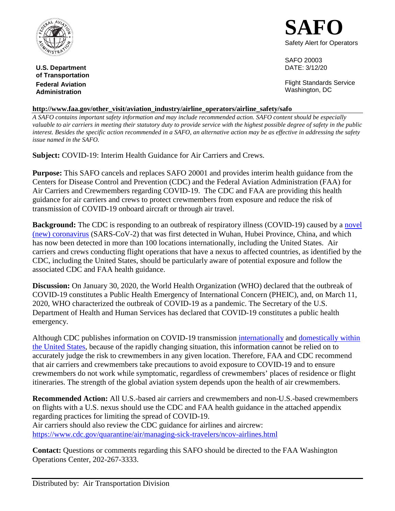

**U.S. Department** DATE: 3/12/20 **of Transportation Administration Contract Contract Contract Contract Contract Contract Contract Contract Contract Contract Contract Contract Contract Contract Contract Contract Contract Contract Contract Contract Contract Contract Contra** 

**SAFO**  Safety Alert for Operators

SAFO 20003

**Federal Aviation Federal Aviation Flight Standards Service** 

### **http://www.faa.gov/other\_visit/aviation\_industry/airline\_operators/airline\_safety/safo**

 *valuable to air carriers in meeting their statutory duty to provide service with the highest possible degree of safety in the public A SAFO contains important safety information and may include recommended action. SAFO content should be especially interest. Besides the specific action recommended in a SAFO, an alternative action may be as effective in addressing the safety issue named in the SAFO.* 

**Subject:** COVID-19: Interim Health Guidance for Air Carriers and Crews.

 **Purpose:** This SAFO cancels and replaces SAFO 20001 and provides interim health guidance from the Centers for Disease Control and Prevention (CDC) and the Federal Aviation Administration (FAA) for Air Carriers and Crewmembers regarding COVID-19. The CDC and FAA are providing this health guidance for air carriers and crews to protect crewmembers from exposure and reduce the risk of transmission of COVID-19 onboard aircraft or through air travel.

**Background:** The CDC is responding to an outbreak of respiratory illness (COVID-19) caused by a *novel* [\(new\) coronavirus](https://www.cdc.gov/coronavirus/2019-ncov/index.html) (SARS-CoV-2) that was first detected in Wuhan, Hubei Province, China, and which has now been detected in more than 100 locations internationally, including the United States. Air carriers and crews conducting flight operations that have a nexus to affected countries, as identified by the CDC, including the United States, should be particularly aware of potential exposure and follow the associated CDC and FAA health guidance.

 **Discussion:** On January 30, 2020, the World Health Organization (WHO) declared that the outbreak of COVID-19 constitutes a Public Health Emergency of International Concern (PHEIC), and, on March 11, 2020, WHO characterized the outbreak of COVID-19 as a pandemic. The Secretary of the U.S. Department of Health and Human Services has declared that COVID-19 constitutes a public health emergency.

emergency.<br>Although CDC publishes information on COVID-19 transmission <u>internationally</u> and <u>domestically within</u> [the United States,](https://www.cdc.gov/coronavirus/2019-ncov/cases-in-us.html) because of the rapidly changing situation, this information cannot be relied on to accurately judge the risk to crewmembers in any given location. Therefore, FAA and CDC recommend that air carriers and crewmembers take precautions to avoid exposure to COVID-19 and to ensure crewmembers do not work while symptomatic, regardless of crewmembers' places of residence or flight itineraries. The strength of the global aviation system depends upon the health of air crewmembers.

 **Recommended Action:** All U.S.-based air carriers and crewmembers and non-U.S.-based crewmembers on flights with a U.S. nexus should use the CDC and FAA health guidance in the attached appendix regarding practices for limiting the spread of COVID-19. Air carriers should also review the CDC guidance for airlines and aircrew: <https://www.cdc.gov/quarantine/air/managing-sick-travelers/ncov-airlines.html>

 **Contact:** Questions or comments regarding this SAFO should be directed to the FAA Washington Operations Center, 202-267-3333.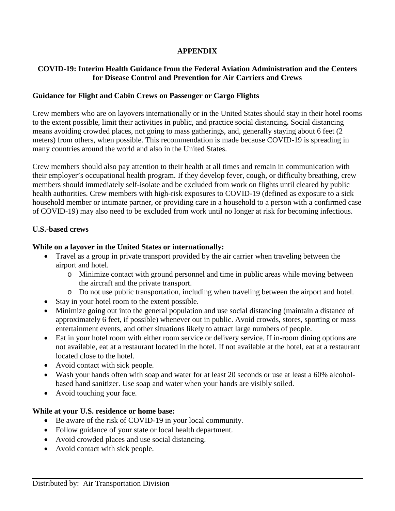### **APPENDIX**

# **COVID-19: Interim Health Guidance from the Federal Aviation Administration and the Centers for Disease Control and Prevention for Air Carriers and Crews**

# **Guidance for Flight and Cabin Crews on Passenger or Cargo Flights**

 Crew members who are on layovers internationally or in the United States should stay in their hotel rooms to the extent possible, limit their activities in public, and practice social distancing**.** Social distancing means avoiding crowded places, not going to mass gatherings, and, generally staying about 6 feet (2 meters) from others, when possible. This recommendation is made because COVID-19 is spreading in many countries around the world and also in the United States.

 Crew members should also pay attention to their health at all times and remain in communication with their employer's occupational health program. If they develop fever, cough, or difficulty breathing, crew members should immediately self-isolate and be excluded from work on flights until cleared by public health authorities. Crew members with high-risk exposures to COVID-19 (defined as exposure to a sick household member or intimate partner, or providing care in a household to a person with a confirmed case of COVID-19) may also need to be excluded from work until no longer at risk for becoming infectious.

## **U.S.-based crews**

## **While on a layover in the United States or internationally:**

- • Travel as a group in private transport provided by the air carrier when traveling between the airport and hotel.
	- o Minimize contact with ground personnel and time in public areas while moving between the aircraft and the private transport.
	- o Do not use public transportation, including when traveling between the airport and hotel.
- Stay in your hotel room to the extent possible.
- Minimize going out into the general population and use social distancing (maintain a distance of approximately 6 feet, if possible) whenever out in public. Avoid crowds, stores, sporting or mass entertainment events, and other situations likely to attract large numbers of people.
- not available, eat at a restaurant located in the hotel. If not available at the hotel, eat at a restaurant • Eat in your hotel room with either room service or delivery service. If in-room dining options are located close to the hotel.
- Avoid contact with sick people.
- Wash your hands often with soap and water for at least 20 seconds or use at least a 60% alcoholbased hand sanitizer. Use soap and water when your hands are visibly soiled.
- Avoid touching your face.

### **While at your U.S. residence or home base:**

- Be aware of the risk of COVID-19 in your local community.
- Follow guidance of your state or local health department.
- Avoid crowded places and use social distancing.
- Avoid contact with sick people.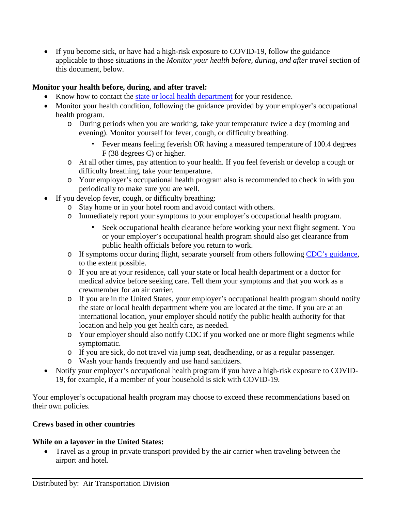applicable to those situations in the *Monitor your health before, during, and after travel* section of • If you become sick, or have had a high-risk exposure to COVID-19, follow the guidance this document, below.

# **Monitor your health before, during, and after travel:**

- Know how to contact the [state or local health department](https://www.cdc.gov/coronavirus/2019-ncov/downloads/Phone-Numbers_State-and-Local-Health-Departments.pdf) for your residence.
- Monitor your health condition, following the guidance provided by your employer's occupational health program.
	- o During periods when you are working, take your temperature twice a day (morning and evening). Monitor yourself for fever, cough, or difficulty breathing.
		- ▪ Fever means feeling feverish OR having a measured temperature of 100.4 degrees F (38 degrees C) or higher.
	- o At all other times, pay attention to your health. If you feel feverish or develop a cough or difficulty breathing, take your temperature.
	- o Your employer's occupational health program also is recommended to check in with you periodically to make sure you are well.
- If you develop fever, cough, or difficulty breathing:
	- o Stay home or in your hotel room and avoid contact with others.
	- o Immediately report your symptoms to your employer's occupational health program.
		- Seek occupational health clearance before working your next flight segment. You or your employer's occupational health program should also get clearance from public health officials before you return to work.
	- o If symptoms occur during flight, separate yourself from others following [CDC's guidance,](https://www.cdc.gov/quarantine/air/managing-sick-travelers/ncov-airlines.html) to the extent possible.
	- o If you are at your residence, call your state or local health department or a doctor for crewmember for an air carrier. medical advice before seeking care. Tell them your symptoms and that you work as a
	- the state or local health department where you are located at the time. If you are at an o If you are in the United States, your employer's occupational health program should notify international location, your employer should notify the public health authority for that location and help you get health care, as needed.
	- o Your employer should also notify CDC if you worked one or more flight segments while symptomatic.
	- o If you are sick, do not travel via jump seat, deadheading, or as a regular passenger.
	- o Wash your hands frequently and use hand sanitizers.
- • Notify your employer's occupational health program if you have a high-risk exposure to COVID-19, for example, if a member of your household is sick with COVID-19.

 Your employer's occupational health program may choose to exceed these recommendations based on their own policies.

### **Crews based in other countries**

## **While on a layover in the United States:**

 • Travel as a group in private transport provided by the air carrier when traveling between the airport and hotel.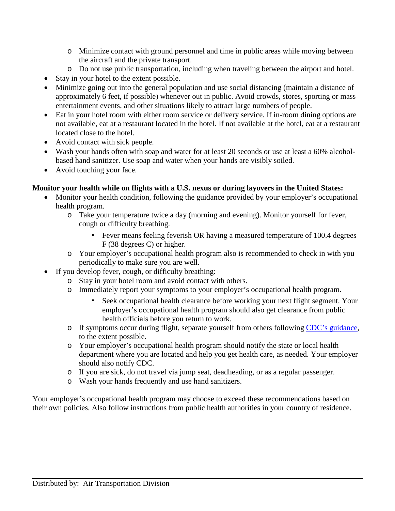- o Minimize contact with ground personnel and time in public areas while moving between the aircraft and the private transport.
- o Do not use public transportation, including when traveling between the airport and hotel.
- Stay in your hotel to the extent possible.
- Minimize going out into the general population and use social distancing (maintain a distance of approximately 6 feet, if possible) whenever out in public. Avoid crowds, stores, sporting or mass entertainment events, and other situations likely to attract large numbers of people.
- not available, eat at a restaurant located in the hotel. If not available at the hotel, eat at a restaurant • Eat in your hotel room with either room service or delivery service. If in-room dining options are located close to the hotel.
- Avoid contact with sick people.
- • Wash your hands often with soap and water for at least 20 seconds or use at least a 60% alcoholbased hand sanitizer. Use soap and water when your hands are visibly soiled.
- Avoid touching your face.

# **Monitor your health while on flights with a U.S. nexus or during layovers in the United States:**

- Monitor your health condition, following the guidance provided by your employer's occupational health program.
	- o Take your temperature twice a day (morning and evening). Monitor yourself for fever, cough or difficulty breathing.
		- ▪ Fever means feeling feverish OR having a measured temperature of 100.4 degrees F (38 degrees C) or higher.
	- o Your employer's occupational health program also is recommended to check in with you periodically to make sure you are well.
- If you develop fever, cough, or difficulty breathing:
	- o Stay in your hotel room and avoid contact with others.
	- o Immediately report your symptoms to your employer's occupational health program.
		- Seek occupational health clearance before working your next flight segment. Your employer's occupational health program should also get clearance from public health officials before you return to work.
	- o If symptoms occur during flight, separate yourself from others following [CDC's guidance,](https://www.cdc.gov/quarantine/air/managing-sick-travelers/ncov-airlines.html) to the extent possible.
	- o Your employer's occupational health program should notify the state or local health department where you are located and help you get health care, as needed. Your employer should also notify CDC.
	- o If you are sick, do not travel via jump seat, deadheading, or as a regular passenger.
	- o Wash your hands frequently and use hand sanitizers.

 Your employer's occupational health program may choose to exceed these recommendations based on their own policies. Also follow instructions from public health authorities in your country of residence.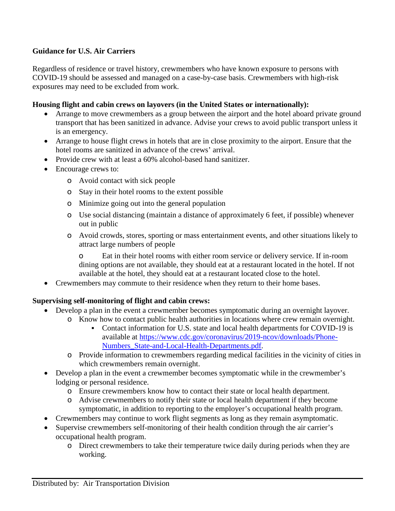# **Guidance for U.S. Air Carriers**

 Regardless of residence or travel history, crewmembers who have known exposure to persons with COVID-19 should be assessed and managed on a case-by-case basis. Crewmembers with high-risk exposures may need to be excluded from work.

### **Housing flight and cabin crews on layovers (in the United States or internationally):**

- • Arrange to move crewmembers as a group between the airport and the hotel aboard private ground transport that has been sanitized in advance. Advise your crews to avoid public transport unless it is an emergency.
- Arrange to house flight crews in hotels that are in close proximity to the airport. Ensure that the hotel rooms are sanitized in advance of the crews' arrival.
- Provide crew with at least a 60% alcohol-based hand sanitizer.
- Encourage crews to:
	- o Avoid contact with sick people
	- o Stay in their hotel rooms to the extent possible
	- o Minimize going out into the general population
	- o Use social distancing (maintain a distance of approximately 6 feet, if possible) whenever out in public
	- o Avoid crowds, stores, sporting or mass entertainment events, and other situations likely to attract large numbers of people

o Eat in their hotel rooms with either room service or delivery service. If in-room dining options are not available, they should eat at a restaurant located in the hotel. If not available at the hotel, they should eat at a restaurant located close to the hotel.

• Crewmembers may commute to their residence when they return to their home bases.

### **Supervising self-monitoring of flight and cabin crews:**

- Develop a plan in the event a crewmember becomes symptomatic during an overnight layover.
	- o Know how to contact public health authorities in locations where crew remain overnight. ■ Contact information for U.S. state and local health departments for COVID-19 is available at [https://www.cdc.gov/coronavirus/2019-ncov/downloads/Phone-](https://www.cdc.gov/coronavirus/2019-ncov/downloads/Phone-Numbers_State-and-Local-Health-Departments.pdf)
		- [Numbers\\_State-and-Local-Health-Departments.pdf.](https://www.cdc.gov/coronavirus/2019-ncov/downloads/Phone-Numbers_State-and-Local-Health-Departments.pdf)
	- o Provide information to crewmembers regarding medical facilities in the vicinity of cities in which crewmembers remain overnight.
- Develop a plan in the event a crewmember becomes symptomatic while in the crewmember's lodging or personal residence.
	- o Ensure crewmembers know how to contact their state or local health department.
	- o Advise crewmembers to notify their state or local health department if they become symptomatic, in addition to reporting to the employer's occupational health program.
- Crewmembers may continue to work flight segments as long as they remain asymptomatic.
- Supervise crewmembers self-monitoring of their health condition through the air carrier's occupational health program.
	- o Direct crewmembers to take their temperature twice daily during periods when they are working.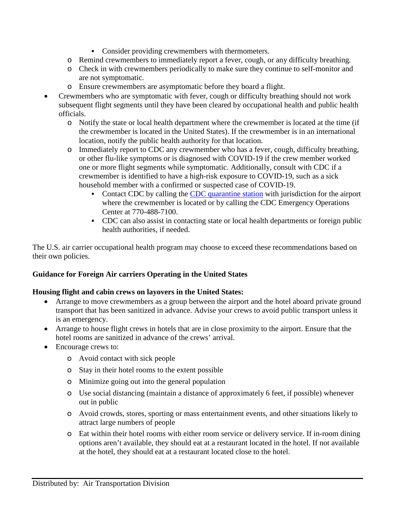- Consider providing crewmembers with thermometers.
- o Remind crewmembers to immediately report a fever, cough, or any difficulty breathing.
- o Check in with crewmembers periodically to make sure they continue to self-monitor and are not symptomatic.
- o Ensure crewmembers are asymptomatic before they board a flight.
- Crewmembers who are symptomatic with fever, cough or difficulty breathing should not work subsequent flight segments until they have been cleared by occupational health and public health officials.
	- o Notify the state or local health department where the crewmember is located at the time (if the crewmember is located in the United States). If the crewmember is in an international location, notify the public health authority for that location.
	- o Immediately report to CDC any crewmember who has a fever, cough, difficulty breathing, or other flu-like symptoms or is diagnosed with COVID-19 if the crew member worked one or more flight segments while symptomatic. Additionally, consult with CDC if a crewmember is identified to have a high-risk exposure to COVID-19, such as a sick household member with a confirmed or suspected case of COVID-19.
		- where the crewmember is located or by calling the CDC Emergency Operations • Contact CDC by calling the [CDC quarantine station](https://www.cdc.gov/quarantine/quarantinestationcontactlistfull.html) with jurisdiction for the airport Center at 770-488-7100.
		- CDC can also assist in contacting state or local health departments or foreign public health authorities, if needed.

 The U.S. air carrier occupational health program may choose to exceed these recommendations based on their own policies.

# **Guidance for Foreign Air carriers Operating in the United States**

### **Housing flight and cabin crews on layovers in the United States:**

- • Arrange to move crewmembers as a group between the airport and the hotel aboard private ground transport that has been sanitized in advance. Advise your crews to avoid public transport unless it is an emergency.
- Arrange to house flight crews in hotels that are in close proximity to the airport. Ensure that the hotel rooms are sanitized in advance of the crews' arrival.
- Encourage crews to:
	- o Avoid contact with sick people
	- o Stay in their hotel rooms to the extent possible
	- o Minimize going out into the general population
	- o Use social distancing (maintain a distance of approximately 6 feet, if possible) whenever out in public
	- o Avoid crowds, stores, sporting or mass entertainment events, and other situations likely to attract large numbers of people
	- o Eat within their hotel rooms with either room service or delivery service. If in-room dining options aren't available, they should eat at a restaurant located in the hotel. If not available at the hotel, they should eat at a restaurant located close to the hotel.